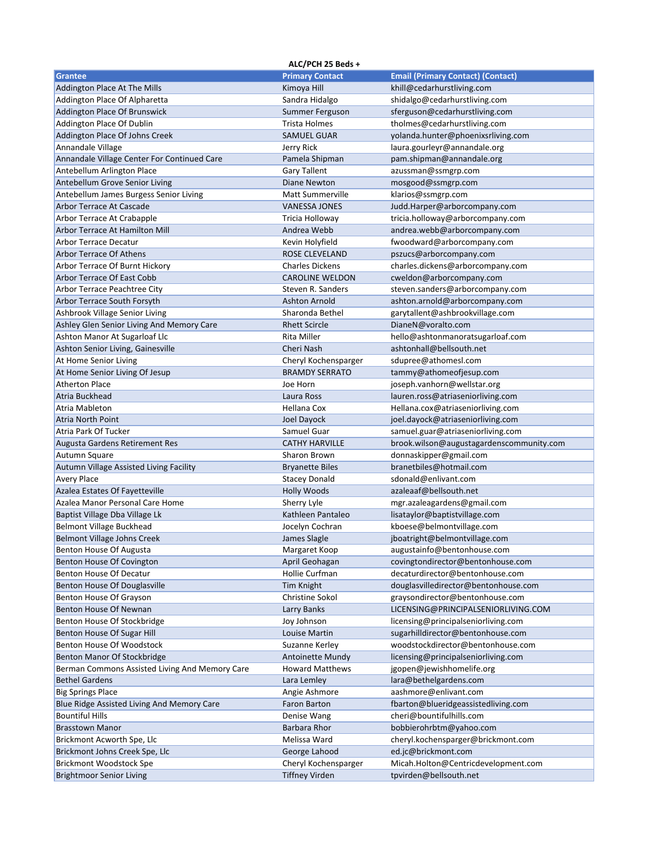|                                                | ALC/PCH 25 Beds +       |                                          |
|------------------------------------------------|-------------------------|------------------------------------------|
| Grantee                                        | <b>Primary Contact</b>  | <b>Email (Primary Contact) (Contact)</b> |
| Addington Place At The Mills                   | Kimoya Hill             | khill@cedarhurstliving.com               |
| Addington Place Of Alpharetta                  | Sandra Hidalgo          | shidalgo@cedarhurstliving.com            |
| Addington Place Of Brunswick                   | Summer Ferguson         | sferguson@cedarhurstliving.com           |
| Addington Place Of Dublin                      | Trista Holmes           | tholmes@cedarhurstliving.com             |
| Addington Place Of Johns Creek                 | <b>SAMUEL GUAR</b>      | yolanda.hunter@phoenixsrliving.com       |
| Annandale Village                              | Jerry Rick              | laura.gourleyr@annandale.org             |
| Annandale Village Center For Continued Care    | Pamela Shipman          | pam.shipman@annandale.org                |
| Antebellum Arlington Place                     | <b>Gary Tallent</b>     | azussman@ssmgrp.com                      |
| Antebellum Grove Senior Living                 | Diane Newton            | mosgood@ssmgrp.com                       |
| Antebellum James Burgess Senior Living         | <b>Matt Summerville</b> | klarios@ssmgrp.com                       |
| Arbor Terrace At Cascade                       | <b>VANESSA JONES</b>    | Judd.Harper@arborcompany.com             |
| Arbor Terrace At Crabapple                     | Tricia Holloway         | tricia.holloway@arborcompany.com         |
| Arbor Terrace At Hamilton Mill                 | Andrea Webb             | andrea.webb@arborcompany.com             |
| <b>Arbor Terrace Decatur</b>                   | Kevin Holyfield         | fwoodward@arborcompany.com               |
| <b>Arbor Terrace Of Athens</b>                 | ROSE CLEVELAND          | pszucs@arborcompany.com                  |
| Arbor Terrace Of Burnt Hickory                 | <b>Charles Dickens</b>  | charles.dickens@arborcompany.com         |
| Arbor Terrace Of East Cobb                     | <b>CAROLINE WELDON</b>  | cweldon@arborcompany.com                 |
| Arbor Terrace Peachtree City                   | Steven R. Sanders       | steven.sanders@arborcompany.com          |
| Arbor Terrace South Forsyth                    | <b>Ashton Arnold</b>    | ashton.arnold@arborcompany.com           |
| Ashbrook Village Senior Living                 | Sharonda Bethel         | garytallent@ashbrookvillage.com          |
| Ashley Glen Senior Living And Memory Care      | <b>Rhett Scircle</b>    | DianeN@voralto.com                       |
| Ashton Manor At Sugarloaf Llc                  | Rita Miller             | hello@ashtonmanoratsugarloaf.com         |
| Ashton Senior Living, Gainesville              | Cheri Nash              | ashtonhall@bellsouth.net                 |
| At Home Senior Living                          | Cheryl Kochensparger    | sdupree@athomesl.com                     |
| At Home Senior Living Of Jesup                 | <b>BRAMDY SERRATO</b>   | tammy@athomeofjesup.com                  |
| <b>Atherton Place</b>                          | Joe Horn                | joseph.vanhorn@wellstar.org              |
| Atria Buckhead                                 | Laura Ross              | lauren.ross@atriaseniorliving.com        |
| Atria Mableton                                 | Hellana Cox             | Hellana.cox@atriaseniorliving.com        |
| <b>Atria North Point</b>                       | Joel Dayock             | joel.dayock@atriaseniorliving.com        |
| Atria Park Of Tucker                           | Samuel Guar             | samuel.guar@atriaseniorliving.com        |
| Augusta Gardens Retirement Res                 | <b>CATHY HARVILLE</b>   | brook.wilson@augustagardenscommunity.com |
| Autumn Square                                  | Sharon Brown            | donnaskipper@gmail.com                   |
| Autumn Village Assisted Living Facility        | <b>Bryanette Biles</b>  | branetbiles@hotmail.com                  |
| <b>Avery Place</b>                             | <b>Stacey Donald</b>    | sdonald@enlivant.com                     |
| Azalea Estates Of Fayetteville                 | <b>Holly Woods</b>      | azaleaaf@bellsouth.net                   |
| Azalea Manor Personal Care Home                | Sherry Lyle             | mgr.azaleagardens@gmail.com              |
| Baptist Village Dba Village Lk                 | Kathleen Pantaleo       | lisataylor@baptistvillage.com            |
| Belmont Village Buckhead                       | Jocelyn Cochran         | kboese@belmontvillage.com                |
| Belmont Village Johns Creek                    | James Slagle            | jboatright@belmontvillage.com            |
| Benton House Of Augusta                        | Margaret Koop           | augustainfo@bentonhouse.com              |
| Benton House Of Covington                      | April Geohagan          | covingtondirector@bentonhouse.com        |
| Benton House Of Decatur                        | Hollie Curfman          | decaturdirector@bentonhouse.com          |
| Benton House Of Douglasville                   | <b>Tim Knight</b>       | douglasvilledirector@bentonhouse.com     |
| Benton House Of Grayson                        | <b>Christine Sokol</b>  | graysondirector@bentonhouse.com          |
| Benton House Of Newnan                         | Larry Banks             | LICENSING@PRINCIPALSENIORLIVING.COM      |
| Benton House Of Stockbridge                    | Joy Johnson             | licensing@principalseniorliving.com      |
| Benton House Of Sugar Hill                     | Louise Martin           | sugarhilldirector@bentonhouse.com        |
| Benton House Of Woodstock                      | Suzanne Kerley          | woodstockdirector@bentonhouse.com        |
| Benton Manor Of Stockbridge                    | Antoinette Mundy        | licensing@principalseniorliving.com      |
| Berman Commons Assisted Living And Memory Care | <b>Howard Matthews</b>  | jgopen@jewishhomelife.org                |
| <b>Bethel Gardens</b>                          | Lara Lemley             | lara@bethelgardens.com                   |
| <b>Big Springs Place</b>                       | Angie Ashmore           | aashmore@enlivant.com                    |
| Blue Ridge Assisted Living And Memory Care     | Faron Barton            | fbarton@blueridgeassistedliving.com      |
| <b>Bountiful Hills</b>                         | Denise Wang             | cheri@bountifulhills.com                 |
| <b>Brasstown Manor</b>                         | Barbara Rhor            | bobbierohrbtm@yahoo.com                  |
| Brickmont Acworth Spe, Llc                     | Melissa Ward            | cheryl.kochensparger@brickmont.com       |
| Brickmont Johns Creek Spe, Llc                 | George Lahood           | ed.jc@brickmont.com                      |
| Brickmont Woodstock Spe                        | Cheryl Kochensparger    | Micah.Holton@Centricdevelopment.com      |
| <b>Brightmoor Senior Living</b>                | <b>Tiffney Virden</b>   | tpvirden@bellsouth.net                   |
|                                                |                         |                                          |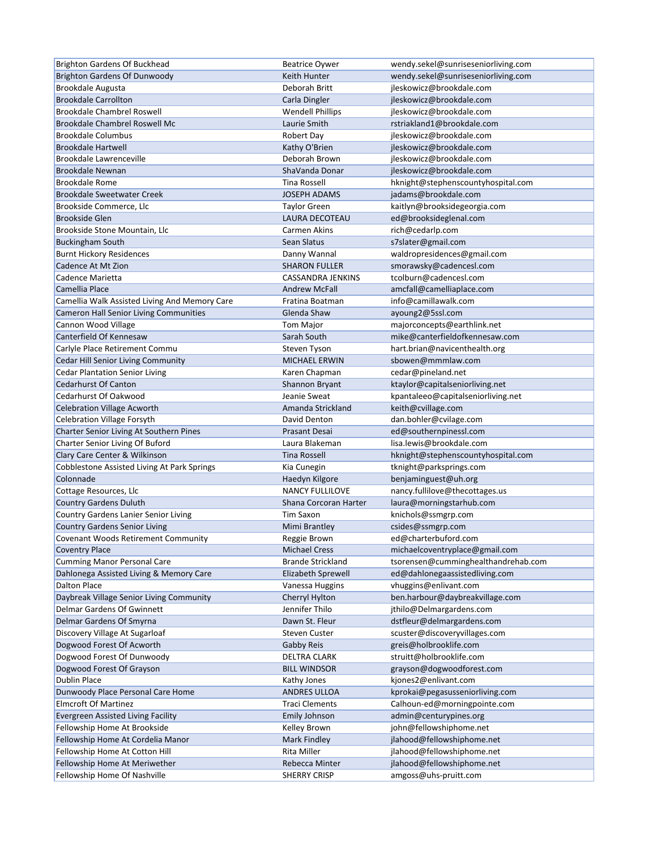| Brighton Gardens Of Buckhead                  | <b>Beatrice Oywer</b>    | wendy.sekel@sunriseseniorliving.com |
|-----------------------------------------------|--------------------------|-------------------------------------|
| <b>Brighton Gardens Of Dunwoody</b>           | Keith Hunter             | wendy.sekel@sunriseseniorliving.com |
| Brookdale Augusta                             | Deborah Britt            | jleskowicz@brookdale.com            |
| <b>Brookdale Carrollton</b>                   | Carla Dingler            | jleskowicz@brookdale.com            |
| <b>Brookdale Chambrel Roswell</b>             | <b>Wendell Phillips</b>  | jleskowicz@brookdale.com            |
| Brookdale Chambrel Roswell Mc                 | Laurie Smith             | rstriakland1@brookdale.com          |
| <b>Brookdale Columbus</b>                     | Robert Day               | jleskowicz@brookdale.com            |
| <b>Brookdale Hartwell</b>                     | Kathy O'Brien            | jleskowicz@brookdale.com            |
| Brookdale Lawrenceville                       | Deborah Brown            | jleskowicz@brookdale.com            |
| <b>Brookdale Newnan</b>                       | ShaVanda Donar           | jleskowicz@brookdale.com            |
| <b>Brookdale Rome</b>                         | <b>Tina Rossell</b>      | hknight@stephenscountyhospital.com  |
| <b>Brookdale Sweetwater Creek</b>             | <b>JOSEPH ADAMS</b>      | jadams@brookdale.com                |
| Brookside Commerce, Llc                       | <b>Taylor Green</b>      | kaitlyn@brooksidegeorgia.com        |
| <b>Brookside Glen</b>                         | LAURA DECOTEAU           | ed@brooksideglenal.com              |
| Brookside Stone Mountain, Llc                 | Carmen Akins             | rich@cedarlp.com                    |
| <b>Buckingham South</b>                       | Sean Slatus              | s7slater@gmail.com                  |
| <b>Burnt Hickory Residences</b>               | Danny Wannal             | waldropresidences@gmail.com         |
| Cadence At Mt Zion                            | <b>SHARON FULLER</b>     | smorawsky@cadencesl.com             |
| Cadence Marietta                              | CASSANDRA JENKINS        | tcolburn@cadencesl.com              |
| Camellia Place                                | <b>Andrew McFall</b>     | amcfall@camelliaplace.com           |
|                                               | Fratina Boatman          | info@camillawalk.com                |
| Camellia Walk Assisted Living And Memory Care |                          |                                     |
| <b>Cameron Hall Senior Living Communities</b> | Glenda Shaw              | ayoung2@5ssl.com                    |
| Cannon Wood Village                           | <b>Tom Major</b>         | majorconcepts@earthlink.net         |
| Canterfield Of Kennesaw                       | Sarah South              | mike@canterfieldofkennesaw.com      |
| Carlyle Place Retirement Commu                | Steven Tyson             | hart.brian@navicenthealth.org       |
| Cedar Hill Senior Living Community            | MICHAEL ERWIN            | sbowen@mmmlaw.com                   |
| <b>Cedar Plantation Senior Living</b>         | Karen Chapman            | cedar@pineland.net                  |
| <b>Cedarhurst Of Canton</b>                   | Shannon Bryant           | ktaylor@capitalseniorliving.net     |
| Cedarhurst Of Oakwood                         | Jeanie Sweat             | kpantaleeo@capitalseniorliving.net  |
| <b>Celebration Village Acworth</b>            | Amanda Strickland        | keith@cvillage.com                  |
| <b>Celebration Village Forsyth</b>            | David Denton             | dan.bohler@cvilage.com              |
| Charter Senior Living At Southern Pines       | <b>Prasant Desai</b>     | ed@southernpinessl.com              |
| Charter Senior Living Of Buford               | Laura Blakeman           | lisa.lewis@brookdale.com            |
| Clary Care Center & Wilkinson                 | <b>Tina Rossell</b>      | hknight@stephenscountyhospital.com  |
| Cobblestone Assisted Living At Park Springs   | Kia Cunegin              | tknight@parksprings.com             |
| Colonnade                                     | Haedyn Kilgore           | benjaminguest@uh.org                |
| Cottage Resources, Llc                        | <b>NANCY FULLILOVE</b>   | nancy.fullilove@thecottages.us      |
| <b>Country Gardens Duluth</b>                 | Shana Corcoran Harter    | laura@morningstarhub.com            |
| Country Gardens Lanier Senior Living          | Tim Saxon                | knichols@ssmgrp.com                 |
| <b>Country Gardens Senior Living</b>          | Mimi Brantley            | csides@ssmgrp.com                   |
| Covenant Woods Retirement Community           | Reggie Brown             | ed@charterbuford.com                |
| <b>Coventry Place</b>                         | <b>Michael Cress</b>     | michaelcoventryplace@gmail.com      |
| <b>Cumming Manor Personal Care</b>            | <b>Brande Strickland</b> | tsorensen@cumminghealthandrehab.com |
| Dahlonega Assisted Living & Memory Care       | Elizabeth Sprewell       | ed@dahlonegaassistedliving.com      |
| Dalton Place                                  | Vanessa Huggins          | vhuggins@enlivant.com               |
| Daybreak Village Senior Living Community      | Cherryl Hylton           | ben.harbour@daybreakvillage.com     |
| Delmar Gardens Of Gwinnett                    | Jennifer Thilo           | jthilo@Delmargardens.com            |
| Delmar Gardens Of Smyrna                      | Dawn St. Fleur           | dstfleur@delmargardens.com          |
| Discovery Village At Sugarloaf                | <b>Steven Custer</b>     | scuster@discoveryvillages.com       |
| Dogwood Forest Of Acworth                     | Gabby Reis               | greis@holbrooklife.com              |
| Dogwood Forest Of Dunwoody                    | DELTRA CLARK             | struitt@holbrooklife.com            |
| Dogwood Forest Of Grayson                     | <b>BILL WINDSOR</b>      | grayson@dogwoodforest.com           |
| Dublin Place                                  | Kathy Jones              | kjones2@enlivant.com                |
| Dunwoody Place Personal Care Home             | <b>ANDRES ULLOA</b>      | kprokai@pegasusseniorliving.com     |
| <b>Elmcroft Of Martinez</b>                   | <b>Traci Clements</b>    | Calhoun-ed@morningpointe.com        |
| Evergreen Assisted Living Facility            | <b>Emily Johnson</b>     | admin@centurypines.org              |
| Fellowship Home At Brookside                  | Kelley Brown             | john@fellowshiphome.net             |
| Fellowship Home At Cordelia Manor             | Mark Findley             | jlahood@fellowshiphome.net          |
| Fellowship Home At Cotton Hill                | Rita Miller              | jlahood@fellowshiphome.net          |
| Fellowship Home At Meriwether                 | Rebecca Minter           | jlahood@fellowshiphome.net          |
| Fellowship Home Of Nashville                  | <b>SHERRY CRISP</b>      | amgoss@uhs-pruitt.com               |
|                                               |                          |                                     |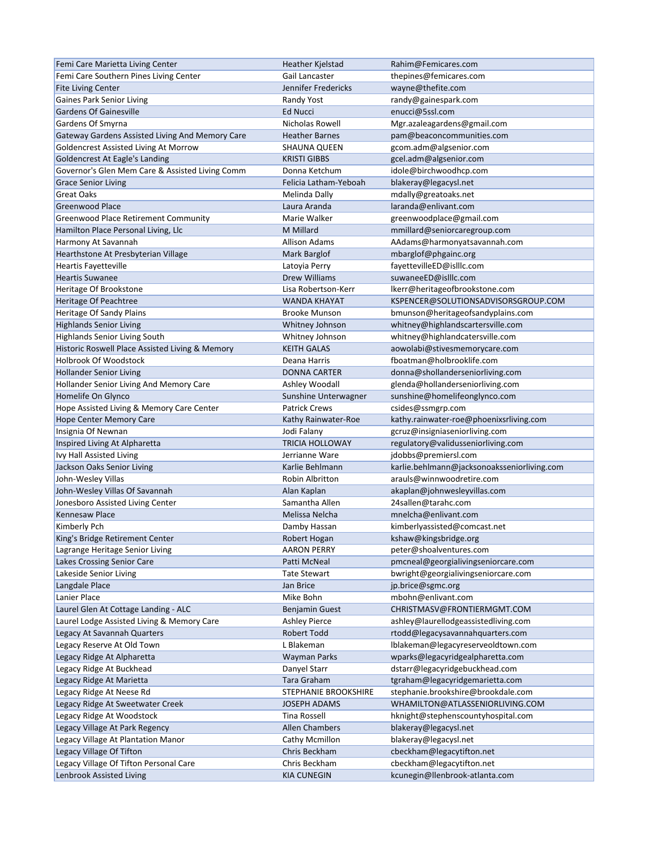| Femi Care Marietta Living Center                | Heather Kjelstad       | Rahim@Femicares.com                         |
|-------------------------------------------------|------------------------|---------------------------------------------|
| Femi Care Southern Pines Living Center          | Gail Lancaster         | thepines@femicares.com                      |
| <b>Fite Living Center</b>                       | Jennifer Fredericks    | wayne@thefite.com                           |
| <b>Gaines Park Senior Living</b>                | Randy Yost             | randy@gainespark.com                        |
| <b>Gardens Of Gainesville</b>                   | Ed Nucci               | enucci@5ssl.com                             |
| Gardens Of Smyrna                               | Nicholas Rowell        | Mgr.azaleagardens@gmail.com                 |
| Gateway Gardens Assisted Living And Memory Care | <b>Heather Barnes</b>  | pam@beaconcommunities.com                   |
| Goldencrest Assisted Living At Morrow           | <b>SHAUNA QUEEN</b>    | gcom.adm@algsenior.com                      |
| Goldencrest At Eagle's Landing                  | <b>KRISTI GIBBS</b>    | gcel.adm@algsenior.com                      |
| Governor's Glen Mem Care & Assisted Living Comm | Donna Ketchum          | idole@birchwoodhcp.com                      |
| <b>Grace Senior Living</b>                      | Felicia Latham-Yeboah  | blakeray@legacysl.net                       |
| <b>Great Oaks</b>                               | Melinda Dally          | mdally@greatoaks.net                        |
| <b>Greenwood Place</b>                          | Laura Aranda           | laranda@enlivant.com                        |
|                                                 | Marie Walker           |                                             |
| Greenwood Place Retirement Community            | <b>M</b> Millard       | greenwoodplace@gmail.com                    |
| Hamilton Place Personal Living, Llc             |                        | mmillard@seniorcaregroup.com                |
| Harmony At Savannah                             | <b>Allison Adams</b>   | AAdams@harmonyatsavannah.com                |
| Hearthstone At Presbyterian Village             | Mark Barglof           | mbarglof@phgainc.org                        |
| <b>Heartis Fayetteville</b>                     | Latoyia Perry          | fayettevilleED@islllc.com                   |
| <b>Heartis Suwanee</b>                          | <b>Drew Williams</b>   | suwaneeED@islllc.com                        |
| Heritage Of Brookstone                          | Lisa Robertson-Kerr    | lkerr@heritageofbrookstone.com              |
| Heritage Of Peachtree                           | <b>WANDA KHAYAT</b>    | KSPENCER@SOLUTIONSADVISORSGROUP.COM         |
| Heritage Of Sandy Plains                        | <b>Brooke Munson</b>   | bmunson@heritageofsandyplains.com           |
| <b>Highlands Senior Living</b>                  | Whitney Johnson        | whitney@highlandscartersville.com           |
| <b>Highlands Senior Living South</b>            | Whitney Johnson        | whitney@highlandcatersville.com             |
| Historic Roswell Place Assisted Living & Memory | <b>KEITH GALAS</b>     | aowolabi@stivesmemorycare.com               |
| Holbrook Of Woodstock                           | Deana Harris           | fboatman@holbrooklife.com                   |
| <b>Hollander Senior Living</b>                  | <b>DONNA CARTER</b>    | donna@shollanderseniorliving.com            |
| Hollander Senior Living And Memory Care         | Ashley Woodall         | glenda@hollanderseniorliving.com            |
| Homelife On Glynco                              | Sunshine Unterwagner   | sunshine@homelifeonglynco.com               |
| Hope Assisted Living & Memory Care Center       | <b>Patrick Crews</b>   | csides@ssmgrp.com                           |
| <b>Hope Center Memory Care</b>                  | Kathy Rainwater-Roe    | kathy.rainwater-roe@phoenixsrliving.com     |
| Insignia Of Newnan                              | Jodi Falany            | gcruz@insigniaseniorliving.com              |
| Inspired Living At Alpharetta                   | <b>TRICIA HOLLOWAY</b> | regulatory@validusseniorliving.com          |
| Ivy Hall Assisted Living                        | Jerrianne Ware         | jdobbs@premiersl.com                        |
| Jackson Oaks Senior Living                      | Karlie Behlmann        | karlie.behlmann@jacksonoaksseniorliving.com |
| John-Wesley Villas                              | Robin Albritton        | arauls@winnwoodretire.com                   |
| John-Wesley Villas Of Savannah                  | Alan Kaplan            | akaplan@johnwesleyvillas.com                |
| Jonesboro Assisted Living Center                | Samantha Allen         | 24sallen@tarahc.com                         |
| <b>Kennesaw Place</b>                           |                        |                                             |
|                                                 | Melissa Nelcha         | mnelcha@enlivant.com                        |
| Kimberly Pch                                    | Damby Hassan           | kimberlyassisted@comcast.net                |
| King's Bridge Retirement Center                 | Robert Hogan           | kshaw@kingsbridge.org                       |
| Lagrange Heritage Senior Living                 | <b>AARON PERRY</b>     | peter@shoalventures.com                     |
| Lakes Crossing Senior Care                      | Patti McNeal           | pmcneal@georgialivingseniorcare.com         |
| Lakeside Senior Living                          | Tate Stewart           | bwright@georgialivingseniorcare.com         |
| Langdale Place                                  | Jan Brice              | jp.brice@sgmc.org                           |
| Lanier Place                                    | Mike Bohn              | mbohn@enlivant.com                          |
| Laurel Glen At Cottage Landing - ALC            | Benjamin Guest         | CHRISTMASV@FRONTIERMGMT.COM                 |
| Laurel Lodge Assisted Living & Memory Care      | <b>Ashley Pierce</b>   | ashley@laurellodgeassistedliving.com        |
| Legacy At Savannah Quarters                     | Robert Todd            | rtodd@legacysavannahquarters.com            |
| Legacy Reserve At Old Town                      | L Blakeman             | lblakeman@legacyreserveoldtown.com          |
| Legacy Ridge At Alpharetta                      | <b>Wayman Parks</b>    | wparks@legacyridgealpharetta.com            |
| Legacy Ridge At Buckhead                        | Danyel Starr           | dstarr@legacyridgebuckhead.com              |
| Legacy Ridge At Marietta                        | Tara Graham            | tgraham@legacyridgemarietta.com             |
| Legacy Ridge At Neese Rd                        | STEPHANIE BROOKSHIRE   | stephanie.brookshire@brookdale.com          |
| Legacy Ridge At Sweetwater Creek                | <b>JOSEPH ADAMS</b>    | WHAMILTON@ATLASSENIORLIVING.COM             |
| Legacy Ridge At Woodstock                       | Tina Rossell           | hknight@stephenscountyhospital.com          |
| Legacy Village At Park Regency                  | Allen Chambers         | blakeray@legacysl.net                       |
| Legacy Village At Plantation Manor              | Cathy Mcmillon         | blakeray@legacysl.net                       |
| Legacy Village Of Tifton                        | Chris Beckham          | cbeckham@legacytifton.net                   |
| Legacy Village Of Tifton Personal Care          | Chris Beckham          | cbeckham@legacytifton.net                   |
|                                                 |                        |                                             |
| Lenbrook Assisted Living                        | <b>KIA CUNEGIN</b>     | kcunegin@llenbrook-atlanta.com              |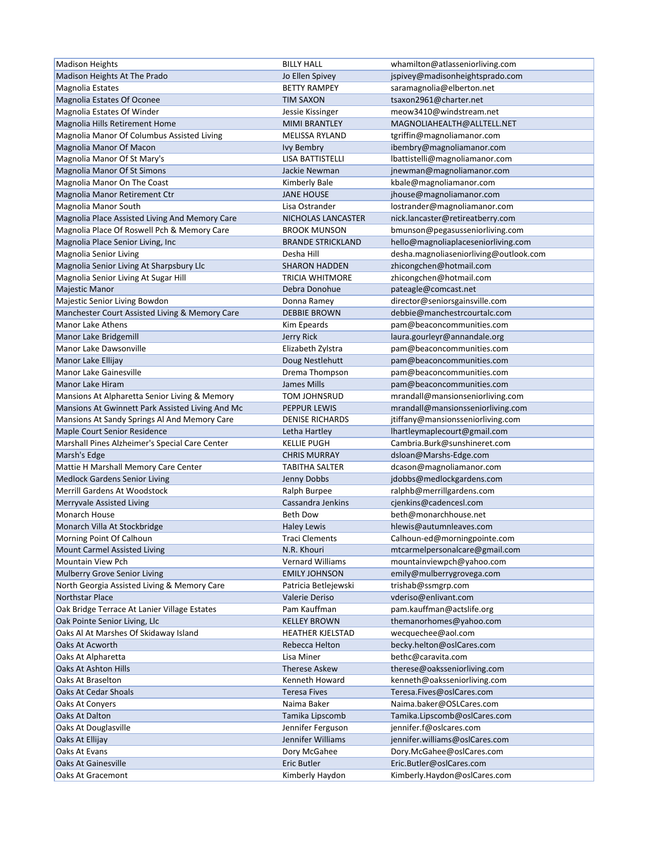| <b>Madison Heights</b>                           | <b>BILLY HALL</b>        | whamilton@atlasseniorliving.com        |
|--------------------------------------------------|--------------------------|----------------------------------------|
| Madison Heights At The Prado                     | Jo Ellen Spivey          | jspivey@madisonheightsprado.com        |
| <b>Magnolia Estates</b>                          | <b>BETTY RAMPEY</b>      | saramagnolia@elberton.net              |
| Magnolia Estates Of Oconee                       | <b>TIM SAXON</b>         | tsaxon2961@charter.net                 |
| Magnolia Estates Of Winder                       | Jessie Kissinger         | meow3410@windstream.net                |
| Magnolia Hills Retirement Home                   | <b>MIMI BRANTLEY</b>     | MAGNOLIAHEALTH@ALLTELL.NET             |
| Magnolia Manor Of Columbus Assisted Living       | <b>MELISSA RYLAND</b>    | tgriffin@magnoliamanor.com             |
| Magnolia Manor Of Macon                          | <b>Ivy Bembry</b>        | ibembry@magnoliamanor.com              |
| Magnolia Manor Of St Mary's                      | LISA BATTISTELLI         | lbattistelli@magnoliamanor.com         |
| Magnolia Manor Of St Simons                      | Jackie Newman            | jnewman@magnoliamanor.com              |
| Magnolia Manor On The Coast                      | Kimberly Bale            | kbale@magnoliamanor.com                |
| Magnolia Manor Retirement Ctr                    | <b>JANE HOUSE</b>        | jhouse@magnoliamanor.com               |
| Magnolia Manor South                             | Lisa Ostrander           | lostrander@magnoliamanor.com           |
| Magnolia Place Assisted Living And Memory Care   | NICHOLAS LANCASTER       | nick.lancaster@retireatberry.com       |
| Magnolia Place Of Roswell Pch & Memory Care      | <b>BROOK MUNSON</b>      | bmunson@pegasusseniorliving.com        |
| Magnolia Place Senior Living, Inc                | <b>BRANDE STRICKLAND</b> | hello@magnoliaplaceseniorliving.com    |
| Magnolia Senior Living                           | Desha Hill               | desha.magnoliaseniorliving@outlook.com |
| Magnolia Senior Living At Sharpsbury Llc         | <b>SHARON HADDEN</b>     | zhicongchen@hotmail.com                |
|                                                  | <b>TRICIA WHITMORE</b>   |                                        |
| Magnolia Senior Living At Sugar Hill             |                          | zhicongchen@hotmail.com                |
| Majestic Manor                                   | Debra Donohue            | pateagle@comcast.net                   |
| Majestic Senior Living Bowdon                    | Donna Ramey              | director@seniorsgainsville.com         |
| Manchester Court Assisted Living & Memory Care   | <b>DEBBIE BROWN</b>      | debbie@manchestrcourtalc.com           |
| Manor Lake Athens                                | Kim Epeards              | pam@beaconcommunities.com              |
| Manor Lake Bridgemill                            | Jerry Rick               | laura.gourleyr@annandale.org           |
| Manor Lake Dawsonville                           | Elizabeth Zylstra        | pam@beaconcommunities.com              |
| Manor Lake Ellijay                               | Doug Nestlehutt          | pam@beaconcommunities.com              |
| Manor Lake Gainesville                           | Drema Thompson           | pam@beaconcommunities.com              |
| Manor Lake Hiram                                 | <b>James Mills</b>       | pam@beaconcommunities.com              |
| Mansions At Alpharetta Senior Living & Memory    | TOM JOHNSRUD             | mrandall@mansionseniorliving.com       |
| Mansions At Gwinnett Park Assisted Living And Mc | <b>PEPPUR LEWIS</b>      | mrandall@mansionsseniorliving.com      |
| Mansions At Sandy Springs Al And Memory Care     | <b>DENISE RICHARDS</b>   | jtiffany@mansionsseniorliving.com      |
| Maple Court Senior Residence                     | Letha Hartley            | lhartleymaplecourt@gmail.com           |
| Marshall Pines Alzheimer's Special Care Center   | <b>KELLIE PUGH</b>       | Cambria.Burk@sunshineret.com           |
| Marsh's Edge                                     | <b>CHRIS MURRAY</b>      | dsloan@Marshs-Edge.com                 |
| Mattie H Marshall Memory Care Center             | <b>TABITHA SALTER</b>    | dcason@magnoliamanor.com               |
| <b>Medlock Gardens Senior Living</b>             | Jenny Dobbs              | jdobbs@medlockgardens.com              |
| <b>Merrill Gardens At Woodstock</b>              | Ralph Burpee             | ralphb@merrillgardens.com              |
| Merryvale Assisted Living                        | Cassandra Jenkins        | cjenkins@cadencesl.com                 |
| Monarch House                                    | <b>Beth Dow</b>          | beth@monarchhouse.net                  |
| Monarch Villa At Stockbridge                     | Haley Lewis              | hlewis@autumnleaves.com                |
| Morning Point Of Calhoun                         | <b>Traci Clements</b>    | Calhoun-ed@morningpointe.com           |
| <b>Mount Carmel Assisted Living</b>              | N.R. Khouri              | mtcarmelpersonalcare@gmail.com         |
| Mountain View Pch                                | <b>Vernard Williams</b>  | mountainviewpch@yahoo.com              |
| <b>Mulberry Grove Senior Living</b>              | <b>EMILY JOHNSON</b>     | emily@mulberrygrovega.com              |
| North Georgia Assisted Living & Memory Care      | Patricia Betlejewski     | trishab@ssmgrp.com                     |
| <b>Northstar Place</b>                           | Valerie Deriso           | vderiso@enlivant.com                   |
| Oak Bridge Terrace At Lanier Village Estates     | Pam Kauffman             | pam.kauffman@actslife.org              |
| Oak Pointe Senior Living, Llc                    | <b>KELLEY BROWN</b>      | themanorhomes@yahoo.com                |
| Oaks Al At Marshes Of Skidaway Island            | <b>HEATHER KJELSTAD</b>  | wecquechee@aol.com                     |
| Oaks At Acworth                                  | Rebecca Helton           | becky.helton@oslCares.com              |
| Oaks At Alpharetta                               | Lisa Miner               | bethc@caravita.com                     |
| Oaks At Ashton Hills                             | <b>Therese Askew</b>     | therese@oaksseniorliving.com           |
| Oaks At Braselton                                | Kenneth Howard           | kenneth@oaksseniorliving.com           |
| Oaks At Cedar Shoals                             | <b>Teresa Fives</b>      | Teresa.Fives@oslCares.com              |
| Oaks At Conyers                                  | Naima Baker              | Naima.baker@OSLCares.com               |
| Oaks At Dalton                                   | Tamika Lipscomb          | Tamika.Lipscomb@oslCares.com           |
|                                                  |                          | jennifer.f@oslcares.com                |
| Oaks At Douglasville                             | Jennifer Ferguson        |                                        |
| Oaks At Ellijay                                  | Jennifer Williams        | jennifer.williams@oslCares.com         |
| Oaks At Evans                                    | Dory McGahee             | Dory.McGahee@oslCares.com              |
| <b>Oaks At Gainesville</b>                       | <b>Eric Butler</b>       | Eric.Butler@oslCares.com               |
| Oaks At Gracemont                                | Kimberly Haydon          | Kimberly.Haydon@oslCares.com           |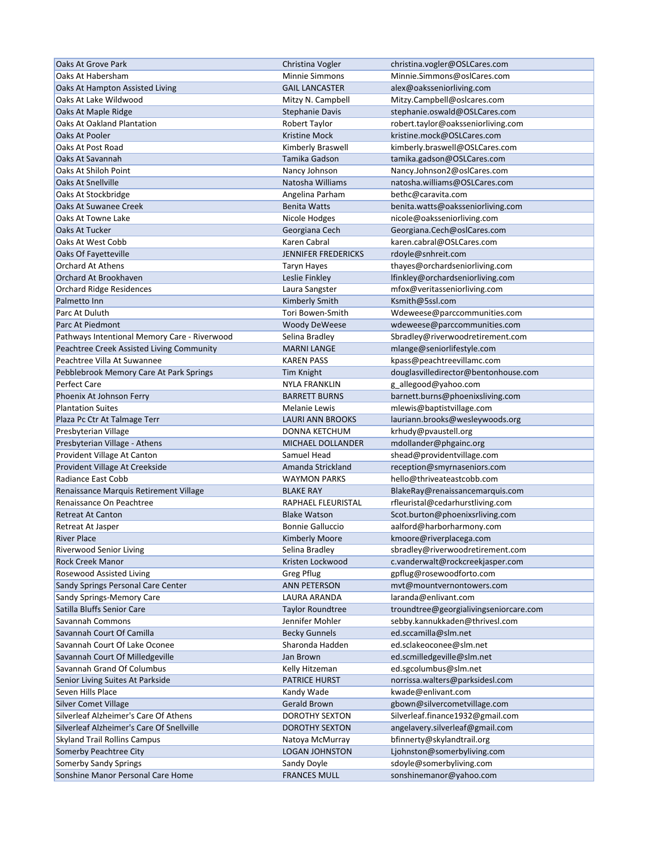| Oaks At Grove Park                                                       | Christina Vogler           | christina.vogler@OSLCares.com                            |
|--------------------------------------------------------------------------|----------------------------|----------------------------------------------------------|
| Oaks At Habersham                                                        | <b>Minnie Simmons</b>      | Minnie.Simmons@oslCares.com                              |
| Oaks At Hampton Assisted Living                                          | <b>GAIL LANCASTER</b>      | alex@oaksseniorliving.com                                |
| Oaks At Lake Wildwood                                                    | Mitzy N. Campbell          | Mitzy.Campbell@oslcares.com                              |
| Oaks At Maple Ridge                                                      | <b>Stephanie Davis</b>     | stephanie.oswald@OSLCares.com                            |
| <b>Oaks At Oakland Plantation</b>                                        | Robert Taylor              | robert.taylor@oaksseniorliving.com                       |
| Oaks At Pooler                                                           | <b>Kristine Mock</b>       | kristine.mock@OSLCares.com                               |
| Oaks At Post Road                                                        | Kimberly Braswell          | kimberly.braswell@OSLCares.com                           |
| Oaks At Savannah                                                         | Tamika Gadson              | tamika.gadson@OSLCares.com                               |
| Oaks At Shiloh Point                                                     | Nancy Johnson              | Nancy.Johnson2@oslCares.com                              |
| <b>Oaks At Snellville</b>                                                | Natosha Williams           | natosha.williams@OSLCares.com                            |
| Oaks At Stockbridge                                                      | Angelina Parham            | bethc@caravita.com                                       |
| Oaks At Suwanee Creek                                                    | <b>Benita Watts</b>        | benita.watts@oaksseniorliving.com                        |
| Oaks At Towne Lake                                                       | Nicole Hodges              | nicole@oaksseniorliving.com                              |
| Oaks At Tucker                                                           | Georgiana Cech             | Georgiana.Cech@oslCares.com                              |
| Oaks At West Cobb                                                        | Karen Cabral               | karen.cabral@OSLCares.com                                |
| Oaks Of Fayetteville                                                     | <b>JENNIFER FREDERICKS</b> | rdoyle@snhreit.com                                       |
| Orchard At Athens                                                        | <b>Taryn Hayes</b>         | thayes@orchardseniorliving.com                           |
| Orchard At Brookhaven                                                    | Leslie Finkley             | lfinkley@orchardseniorliving.com                         |
| <b>Orchard Ridge Residences</b>                                          | Laura Sangster             | mfox@veritasseniorliving.com                             |
| Palmetto Inn                                                             | Kimberly Smith             | Ksmith@5ssl.com                                          |
| Parc At Duluth                                                           | Tori Bowen-Smith           | Wdeweese@parccommunities.com                             |
| Parc At Piedmont                                                         | <b>Woody DeWeese</b>       | wdeweese@parccommunities.com                             |
| Pathways Intentional Memory Care - Riverwood                             | Selina Bradley             | Sbradley@riverwoodretirement.com                         |
|                                                                          | <b>MARNI LANGE</b>         |                                                          |
| Peachtree Creek Assisted Living Community<br>Peachtree Villa At Suwannee |                            | mlange@seniorlifestyle.com<br>kpass@peachtreevillamc.com |
|                                                                          | <b>KAREN PASS</b>          |                                                          |
| Pebblebrook Memory Care At Park Springs                                  | <b>Tim Knight</b>          | douglasvilledirector@bentonhouse.com                     |
| <b>Perfect Care</b>                                                      | <b>NYLA FRANKLIN</b>       | g_allegood@yahoo.com                                     |
| Phoenix At Johnson Ferry                                                 | <b>BARRETT BURNS</b>       | barnett.burns@phoenixsliving.com                         |
| <b>Plantation Suites</b>                                                 | <b>Melanie Lewis</b>       | mlewis@baptistvillage.com                                |
| Plaza Pc Ctr At Talmage Terr                                             | <b>LAURI ANN BROOKS</b>    | lauriann.brooks@wesleywoods.org                          |
| Presbyterian Village                                                     | DONNA KETCHUM              | krhudy@pvaustell.org                                     |
| Presbyterian Village - Athens                                            | MICHAEL DOLLANDER          | mdollander@phgainc.org                                   |
| Provident Village At Canton                                              | Samuel Head                | shead@providentvillage.com                               |
| Provident Village At Creekside                                           | Amanda Strickland          | reception@smyrnaseniors.com                              |
| Radiance East Cobb                                                       | <b>WAYMON PARKS</b>        | hello@thriveateastcobb.com                               |
| Renaissance Marquis Retirement Village                                   | <b>BLAKE RAY</b>           | BlakeRay@renaissancemarquis.com                          |
| Renaissance On Peachtree                                                 | RAPHAEL FLEURISTAL         | rfleuristal@cedarhurstliving.com                         |
| <b>Retreat At Canton</b>                                                 | <b>Blake Watson</b>        | Scot.burton@phoenixsrliving.com                          |
| Retreat At Jasper                                                        | <b>Bonnie Galluccio</b>    | aalford@harborharmony.com                                |
| River Place                                                              | Kimberly Moore             | kmoore@riverplacega.com                                  |
| Riverwood Senior Living                                                  | Selina Bradley             | sbradley@riverwoodretirement.com                         |
| Rock Creek Manor                                                         | Kristen Lockwood           | c.vanderwalt@rockcreekjasper.com                         |
| Rosewood Assisted Living                                                 | <b>Greg Pflug</b>          | gpflug@rosewoodforto.com                                 |
| Sandy Springs Personal Care Center                                       | <b>ANN PETERSON</b>        | mvt@mountvernontowers.com                                |
| Sandy Springs-Memory Care                                                | LAURA ARANDA               | laranda@enlivant.com                                     |
| Satilla Bluffs Senior Care                                               | <b>Taylor Roundtree</b>    | troundtree@georgialivingseniorcare.com                   |
| Savannah Commons                                                         | Jennifer Mohler            | sebby.kannukkaden@thrivesl.com                           |
| Savannah Court Of Camilla                                                | <b>Becky Gunnels</b>       | ed.sccamilla@slm.net                                     |
| Savannah Court Of Lake Oconee                                            | Sharonda Hadden            | ed.sclakeoconee@slm.net                                  |
| Savannah Court Of Milledgeville                                          | Jan Brown                  | ed.scmilledgeville@slm.net                               |
| Savannah Grand Of Columbus                                               | Kelly Hitzeman             | ed.sgcolumbus@slm.net                                    |
| Senior Living Suites At Parkside                                         | <b>PATRICE HURST</b>       | norrissa.walters@parksidesl.com                          |
| Seven Hills Place                                                        | Kandy Wade                 | kwade@enlivant.com                                       |
| Silver Comet Village                                                     | Gerald Brown               | gbown@silvercometvillage.com                             |
| Silverleaf Alzheimer's Care Of Athens                                    | DOROTHY SEXTON             | Silverleaf.finance1932@gmail.com                         |
| Silverleaf Alzheimer's Care Of Snellville                                | <b>DOROTHY SEXTON</b>      | angelavery.silverleaf@gmail.com                          |
| <b>Skyland Trail Rollins Campus</b>                                      | Natoya McMurray            | bfinnerty@skylandtrail.org                               |
| Somerby Peachtree City                                                   | <b>LOGAN JOHNSTON</b>      | Ljohnston@somerbyliving.com                              |
| Somerby Sandy Springs                                                    | Sandy Doyle                | sdoyle@somerbyliving.com                                 |
| Sonshine Manor Personal Care Home                                        | <b>FRANCES MULL</b>        | sonshinemanor@yahoo.com                                  |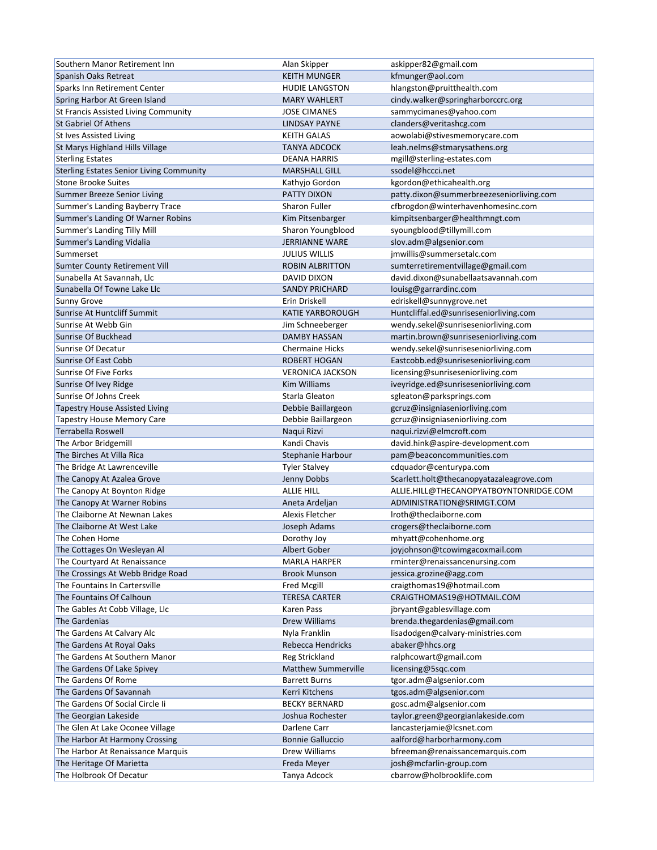| Southern Manor Retirement Inn                   | Alan Skipper               | askipper82@gmail.com                     |
|-------------------------------------------------|----------------------------|------------------------------------------|
| Spanish Oaks Retreat                            | <b>KEITH MUNGER</b>        | kfmunger@aol.com                         |
| Sparks Inn Retirement Center                    | <b>HUDIE LANGSTON</b>      | hlangston@pruitthealth.com               |
| Spring Harbor At Green Island                   | <b>MARY WAHLERT</b>        | cindy.walker@springharborccrc.org        |
| St Francis Assisted Living Community            | <b>JOSE CIMANES</b>        | sammycimanes@yahoo.com                   |
| <b>St Gabriel Of Athens</b>                     | <b>LINDSAY PAYNE</b>       | clanders@veritashcg.com                  |
| St Ives Assisted Living                         | <b>KEITH GALAS</b>         | aowolabi@stivesmemorycare.com            |
| St Marys Highland Hills Village                 | <b>TANYA ADCOCK</b>        | leah.nelms@stmarysathens.org             |
| <b>Sterling Estates</b>                         | <b>DEANA HARRIS</b>        | mgill@sterling-estates.com               |
| <b>Sterling Estates Senior Living Community</b> | <b>MARSHALL GILL</b>       | ssodel@hccci.net                         |
| <b>Stone Brooke Suites</b>                      | Kathyjo Gordon             | kgordon@ethicahealth.org                 |
| Summer Breeze Senior Living                     | PATTY DIXON                | patty.dixon@summerbreezeseniorliving.com |
| Summer's Landing Bayberry Trace                 | Sharon Fuller              | cfbrogdon@winterhavenhomesinc.com        |
| Summer's Landing Of Warner Robins               | Kim Pitsenbarger           | kimpitsenbarger@healthmngt.com           |
| Summer's Landing Tilly Mill                     |                            |                                          |
|                                                 | Sharon Youngblood          | syoungblood@tillymill.com                |
| Summer's Landing Vidalia                        | <b>JERRIANNE WARE</b>      | slov.adm@algsenior.com                   |
| Summerset                                       | <b>JULIUS WILLIS</b>       | jmwillis@summersetalc.com                |
| Sumter County Retirement Vill                   | <b>ROBIN ALBRITTON</b>     | sumterretirementvillage@gmail.com        |
| Sunabella At Savannah, Llc                      | DAVID DIXON                | david.dixon@sunabellaatsavannah.com      |
| Sunabella Of Towne Lake Llc                     | <b>SANDY PRICHARD</b>      | louisg@garrardinc.com                    |
| <b>Sunny Grove</b>                              | Erin Driskell              | edriskell@sunnygrove.net                 |
| Sunrise At Huntcliff Summit                     | <b>KATIE YARBOROUGH</b>    | Huntcliffal.ed@sunriseseniorliving.com   |
| Sunrise At Webb Gin                             | Jim Schneeberger           | wendy.sekel@sunriseseniorliving.com      |
| Sunrise Of Buckhead                             | <b>DAMBY HASSAN</b>        | martin.brown@sunriseseniorliving.com     |
| Sunrise Of Decatur                              | <b>Chermaine Hicks</b>     | wendy.sekel@sunriseseniorliving.com      |
| Sunrise Of East Cobb                            | <b>ROBERT HOGAN</b>        | Eastcobb.ed@sunriseseniorliving.com      |
| Sunrise Of Five Forks                           | <b>VERONICA JACKSON</b>    | licensing@sunriseseniorliving.com        |
| Sunrise Of Ivey Ridge                           | <b>Kim Williams</b>        | iveyridge.ed@sunriseseniorliving.com     |
| Sunrise Of Johns Creek                          | Starla Gleaton             | sgleaton@parksprings.com                 |
| <b>Tapestry House Assisted Living</b>           | Debbie Baillargeon         | gcruz@insigniaseniorliving.com           |
| <b>Tapestry House Memory Care</b>               | Debbie Baillargeon         | gcruz@insigniaseniorliving.com           |
| Terrabella Roswell                              | Naqui Rizvi                | naqui.rizvi@elmcroft.com                 |
| The Arbor Bridgemill                            | Kandi Chavis               | david.hink@aspire-development.com        |
| The Birches At Villa Rica                       | Stephanie Harbour          | pam@beaconcommunities.com                |
| The Bridge At Lawrenceville                     | <b>Tyler Stalvey</b>       | cdquador@centurypa.com                   |
| The Canopy At Azalea Grove                      | Jenny Dobbs                | Scarlett.holt@thecanopyatazaleagrove.com |
| The Canopy At Boynton Ridge                     | <b>ALLIE HILL</b>          | ALLIE.HILL@THECANOPYATBOYNTONRIDGE.COM   |
| The Canopy At Warner Robins                     | Aneta Ardeljan             | ADMINISTRATION@SRIMGT.COM                |
| The Claiborne At Newnan Lakes                   | Alexis Fletcher            | Iroth@theclaiborne.com                   |
| The Claiborne At West Lake                      | Joseph Adams               | crogers@theclaiborne.com                 |
| The Cohen Home                                  | Dorothy Joy                | mhyatt@cohenhome.org                     |
| The Cottages On Wesleyan Al                     | Albert Gober               | joyjohnson@tcowimgacoxmail.com           |
| The Courtyard At Renaissance                    | <b>MARLA HARPER</b>        | rminter@renaissancenursing.com           |
| The Crossings At Webb Bridge Road               | <b>Brook Munson</b>        | jessica.grozine@agg.com                  |
| The Fountains In Cartersville                   | Fred Mcgill                | craigthomas19@hotmail.com                |
| The Fountains Of Calhoun                        | <b>TERESA CARTER</b>       | CRAIGTHOMAS19@HOTMAIL.COM                |
|                                                 |                            |                                          |
| The Gables At Cobb Village, Llc                 | Karen Pass                 | jbryant@gablesvillage.com                |
| The Gardenias                                   | Drew Williams              | brenda.thegardenias@gmail.com            |
| The Gardens At Calvary Alc                      | Nyla Franklin              | lisadodgen@calvary-ministries.com        |
| The Gardens At Royal Oaks                       | Rebecca Hendricks          | abaker@hhcs.org                          |
| The Gardens At Southern Manor                   | Reg Strickland             | ralphcowart@gmail.com                    |
| The Gardens Of Lake Spivey                      | <b>Matthew Summerville</b> | licensing@5sqc.com                       |
| The Gardens Of Rome                             | <b>Barrett Burns</b>       | tgor.adm@algsenior.com                   |
| The Gardens Of Savannah                         | Kerri Kitchens             | tgos.adm@algsenior.com                   |
| The Gardens Of Social Circle Ii                 | <b>BECKY BERNARD</b>       | gosc.adm@algsenior.com                   |
| The Georgian Lakeside                           | Joshua Rochester           | taylor.green@georgianlakeside.com        |
| The Glen At Lake Oconee Village                 | Darlene Carr               | lancasterjamie@lcsnet.com                |
| The Harbor At Harmony Crossing                  | <b>Bonnie Galluccio</b>    | aalford@harborharmony.com                |
| The Harbor At Renaissance Marquis               | Drew Williams              | bfreeman@renaissancemarquis.com          |
| The Heritage Of Marietta                        | Freda Meyer                | josh@mcfarlin-group.com                  |
| The Holbrook Of Decatur                         | Tanya Adcock               | cbarrow@holbrooklife.com                 |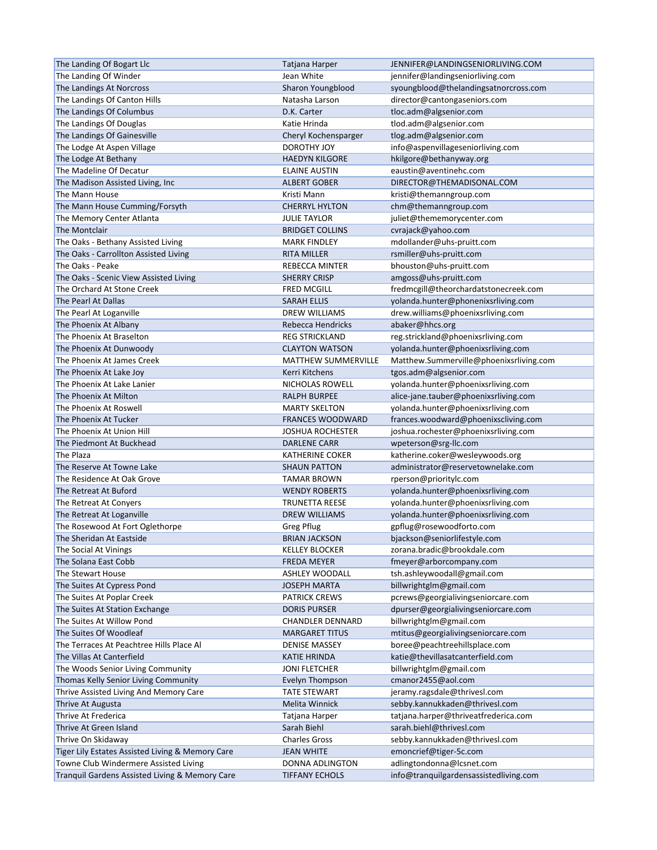| The Landing Of Bogart Llc                        | Tatjana Harper             | JENNIFER@LANDINGSENIORLIVING.COM        |
|--------------------------------------------------|----------------------------|-----------------------------------------|
| The Landing Of Winder                            | Jean White                 | jennifer@landingseniorliving.com        |
| The Landings At Norcross                         | Sharon Youngblood          | syoungblood@thelandingsatnorcross.com   |
| The Landings Of Canton Hills                     | Natasha Larson             | director@cantongaseniors.com            |
| The Landings Of Columbus                         | D.K. Carter                | tloc.adm@algsenior.com                  |
| The Landings Of Douglas                          | Katie Hrinda               | tlod.adm@algsenior.com                  |
| The Landings Of Gainesville                      | Cheryl Kochensparger       | tlog.adm@algsenior.com                  |
| The Lodge At Aspen Village                       | <b>DOROTHY JOY</b>         | info@aspenvillageseniorliving.com       |
| The Lodge At Bethany                             | <b>HAEDYN KILGORE</b>      | hkilgore@bethanyway.org                 |
| The Madeline Of Decatur                          | <b>ELAINE AUSTIN</b>       | eaustin@aventinehc.com                  |
| The Madison Assisted Living, Inc                 | <b>ALBERT GOBER</b>        | DIRECTOR@THEMADISONAL.COM               |
| The Mann House                                   | Kristi Mann                | kristi@themanngroup.com                 |
|                                                  |                            |                                         |
| The Mann House Cumming/Forsyth                   | <b>CHERRYL HYLTON</b>      | chm@themanngroup.com                    |
| The Memory Center Atlanta                        | <b>JULIE TAYLOR</b>        | juliet@thememorycenter.com              |
| The Montclair                                    | <b>BRIDGET COLLINS</b>     | cvrajack@yahoo.com                      |
| The Oaks - Bethany Assisted Living               | <b>MARK FINDLEY</b>        | mdollander@uhs-pruitt.com               |
| The Oaks - Carrollton Assisted Living            | <b>RITA MILLER</b>         | rsmiller@uhs-pruitt.com                 |
| The Oaks - Peake                                 | REBECCA MINTER             | bhouston@uhs-pruitt.com                 |
| The Oaks - Scenic View Assisted Living           | <b>SHERRY CRISP</b>        | amgoss@uhs-pruitt.com                   |
| The Orchard At Stone Creek                       | <b>FRED MCGILL</b>         | fredmcgill@theorchardatstonecreek.com   |
| The Pearl At Dallas                              | <b>SARAH ELLIS</b>         | yolanda.hunter@phonenixsrliving.com     |
| The Pearl At Loganville                          | <b>DREW WILLIAMS</b>       | drew.williams@phoenixsrliving.com       |
| The Phoenix At Albany                            | Rebecca Hendricks          | abaker@hhcs.org                         |
| The Phoenix At Braselton                         | <b>REG STRICKLAND</b>      | reg.strickland@phoenixsrliving.com      |
| The Phoenix At Dunwoody                          | <b>CLAYTON WATSON</b>      | yolanda.hunter@phoenixsrliving.com      |
| The Phoenix At James Creek                       | <b>MATTHEW SUMMERVILLE</b> | Matthew.Summerville@phoenixsrliving.com |
| The Phoenix At Lake Joy                          | Kerri Kitchens             | tgos.adm@algsenior.com                  |
| The Phoenix At Lake Lanier                       | NICHOLAS ROWELL            | yolanda.hunter@phoenixsrliving.com      |
| The Phoenix At Milton                            | <b>RALPH BURPEE</b>        | alice-jane.tauber@phoenixsrliving.com   |
| The Phoenix At Roswell                           | <b>MARTY SKELTON</b>       | yolanda.hunter@phoenixsrliving.com      |
| The Phoenix At Tucker                            | <b>FRANCES WOODWARD</b>    | frances.woodward@phoenixscliving.com    |
| The Phoenix At Union Hill                        | <b>JOSHUA ROCHESTER</b>    | joshua.rochester@phoenixsrliving.com    |
| The Piedmont At Buckhead                         | <b>DARLENE CARR</b>        | wpeterson@srg-llc.com                   |
| The Plaza                                        | <b>KATHERINE COKER</b>     | katherine.coker@wesleywoods.org         |
| The Reserve At Towne Lake                        | <b>SHAUN PATTON</b>        | administrator@reservetownelake.com      |
| The Residence At Oak Grove                       | <b>TAMAR BROWN</b>         | rperson@prioritylc.com                  |
| The Retreat At Buford                            | <b>WENDY ROBERTS</b>       |                                         |
| The Retreat At Conyers                           |                            | yolanda.hunter@phoenixsrliving.com      |
|                                                  | <b>TRUNETTA REESE</b>      | yolanda.hunter@phoenixsrliving.com      |
| The Retreat At Loganville                        | <b>DREW WILLIAMS</b>       | yolanda.hunter@phoenixsrliving.com      |
| The Rosewood At Fort Oglethorpe                  | Greg Pflug                 | gpflug@rosewoodforto.com                |
| The Sheridan At Eastside                         | <b>BRIAN JACKSON</b>       | bjackson@seniorlifestyle.com            |
| The Social At Vinings                            | <b>KELLEY BLOCKER</b>      | zorana.bradic@brookdale.com             |
| The Solana East Cobb                             | <b>FREDA MEYER</b>         | fmeyer@arborcompany.com                 |
| The Stewart House                                | ASHLEY WOODALL             | tsh.ashleywoodall@gmail.com             |
| The Suites At Cypress Pond                       | <b>JOSEPH MARTA</b>        | billwrightglm@gmail.com                 |
| The Suites At Poplar Creek                       | <b>PATRICK CREWS</b>       | pcrews@georgialivingseniorcare.com      |
| The Suites At Station Exchange                   | <b>DORIS PURSER</b>        | dpurser@georgialivingseniorcare.com     |
| The Suites At Willow Pond                        | <b>CHANDLER DENNARD</b>    | billwrightglm@gmail.com                 |
| The Suites Of Woodleaf                           | <b>MARGARET TITUS</b>      | mtitus@georgialivingseniorcare.com      |
| The Terraces At Peachtree Hills Place Al         | <b>DENISE MASSEY</b>       | boree@peachtreehillsplace.com           |
| The Villas At Canterfield                        | <b>KATIE HRINDA</b>        | katie@thevillasatcanterfield.com        |
| The Woods Senior Living Community                | <b>JONI FLETCHER</b>       | billwrightglm@gmail.com                 |
| Thomas Kelly Senior Living Community             | Evelyn Thompson            | cmanor2455@aol.com                      |
| Thrive Assisted Living And Memory Care           | <b>TATE STEWART</b>        | jeramy.ragsdale@thrivesl.com            |
| Thrive At Augusta                                | Melita Winnick             | sebby.kannukkaden@thrivesl.com          |
| Thrive At Frederica                              | Tatjana Harper             | tatjana.harper@thriveatfrederica.com    |
| Thrive At Green Island                           | Sarah Biehl                | sarah.biehl@thrivesl.com                |
| Thrive On Skidaway                               | <b>Charles Gross</b>       | sebby.kannukkaden@thrivesl.com          |
| Tiger Lily Estates Assisted Living & Memory Care | <b>JEAN WHITE</b>          | emoncrief@tiger-5c.com                  |
| Towne Club Windermere Assisted Living            | DONNA ADLINGTON            | adlingtondonna@lcsnet.com               |
|                                                  |                            |                                         |
| Tranquil Gardens Assisted Living & Memory Care   | <b>TIFFANY ECHOLS</b>      | info@tranquilgardensassistedliving.com  |